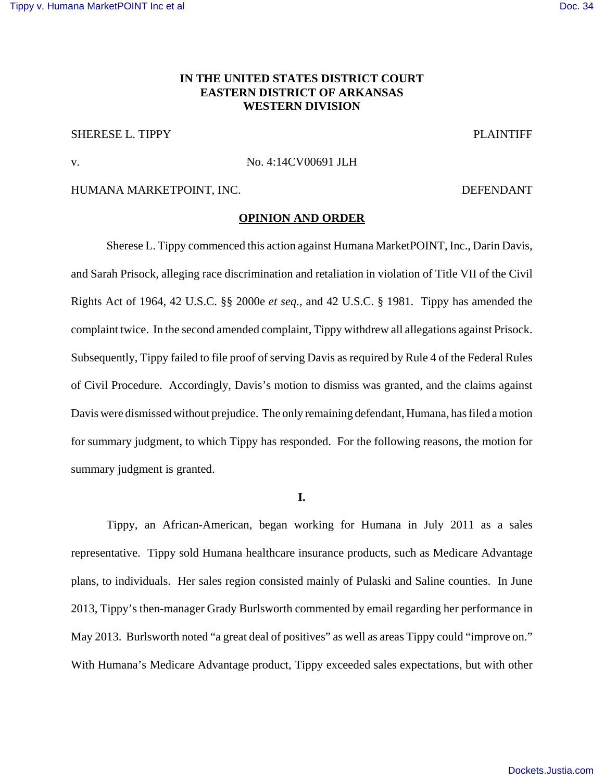# [Tippy v. Humana MarketPOINT Inc et al](https://dockets.justia.com/docket/arkansas/aredce/4:2014cv00691/98545/) **[Doc. 34](https://docs.justia.com/cases/federal/district-courts/arkansas/aredce/4:2014cv00691/98545/34/)** November 2012 12:00 November 2012 12:00 November 2014

# **IN THE UNITED STATES DISTRICT COURT EASTERN DISTRICT OF ARKANSAS WESTERN DIVISION**

# SHERESE L. TIPPY PLAINTIFF

#### v. No. 4:14CV00691 JLH

# HUMANA MARKETPOINT, INC. DEFENDANT

### **OPINION AND ORDER**

Sherese L. Tippy commenced this action against Humana MarketPOINT, Inc., Darin Davis, and Sarah Prisock, alleging race discrimination and retaliation in violation of Title VII of the Civil Rights Act of 1964, 42 U.S.C. §§ 2000e *et seq.*, and 42 U.S.C. § 1981. Tippy has amended the complaint twice. In the second amended complaint, Tippy withdrew all allegations against Prisock. Subsequently, Tippy failed to file proof of serving Davis as required by Rule 4 of the Federal Rules of Civil Procedure. Accordingly, Davis's motion to dismiss was granted, and the claims against Davis were dismissed without prejudice. The only remaining defendant, Humana, has filed a motion for summary judgment, to which Tippy has responded. For the following reasons, the motion for summary judgment is granted.

**I.**

Tippy, an African-American, began working for Humana in July 2011 as a sales representative. Tippy sold Humana healthcare insurance products, such as Medicare Advantage plans, to individuals. Her sales region consisted mainly of Pulaski and Saline counties. In June 2013, Tippy's then-manager Grady Burlsworth commented by email regarding her performance in May 2013. Burlsworth noted "a great deal of positives" as well as areas Tippy could "improve on." With Humana's Medicare Advantage product, Tippy exceeded sales expectations, but with other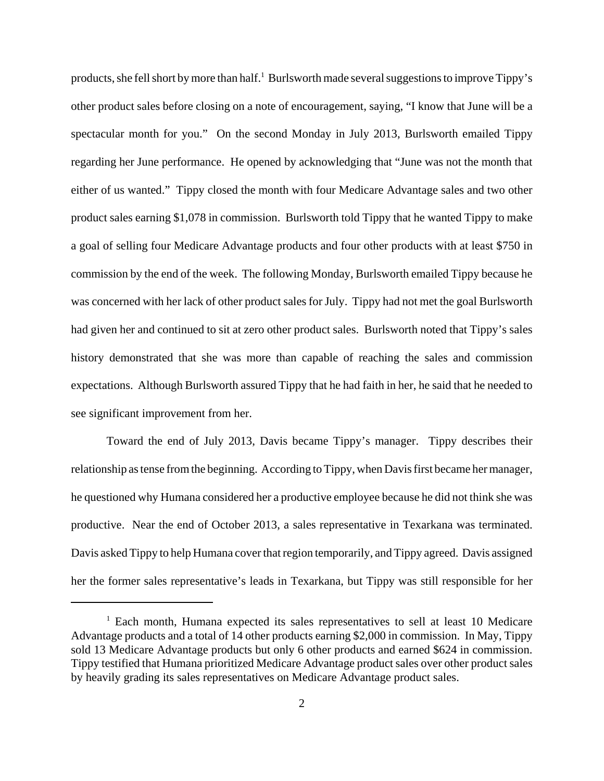products, she fell short by more than half.<sup>1</sup> Burlsworth made several suggestions to improve Tippy's other product sales before closing on a note of encouragement, saying, "I know that June will be a spectacular month for you." On the second Monday in July 2013, Burlsworth emailed Tippy regarding her June performance. He opened by acknowledging that "June was not the month that either of us wanted." Tippy closed the month with four Medicare Advantage sales and two other product sales earning \$1,078 in commission. Burlsworth told Tippy that he wanted Tippy to make a goal of selling four Medicare Advantage products and four other products with at least \$750 in commission by the end of the week. The following Monday, Burlsworth emailed Tippy because he was concerned with her lack of other product sales for July. Tippy had not met the goal Burlsworth had given her and continued to sit at zero other product sales. Burlsworth noted that Tippy's sales history demonstrated that she was more than capable of reaching the sales and commission expectations. Although Burlsworth assured Tippy that he had faith in her, he said that he needed to see significant improvement from her.

Toward the end of July 2013, Davis became Tippy's manager. Tippy describes their relationship as tense from the beginning. According to Tippy, when Davis first became her manager, he questioned why Humana considered her a productive employee because he did not think she was productive. Near the end of October 2013, a sales representative in Texarkana was terminated. Davis asked Tippy to help Humana cover that region temporarily, and Tippy agreed. Davis assigned her the former sales representative's leads in Texarkana, but Tippy was still responsible for her

<sup>&</sup>lt;sup>1</sup> Each month, Humana expected its sales representatives to sell at least 10 Medicare Advantage products and a total of 14 other products earning \$2,000 in commission. In May, Tippy sold 13 Medicare Advantage products but only 6 other products and earned \$624 in commission. Tippy testified that Humana prioritized Medicare Advantage product sales over other product sales by heavily grading its sales representatives on Medicare Advantage product sales.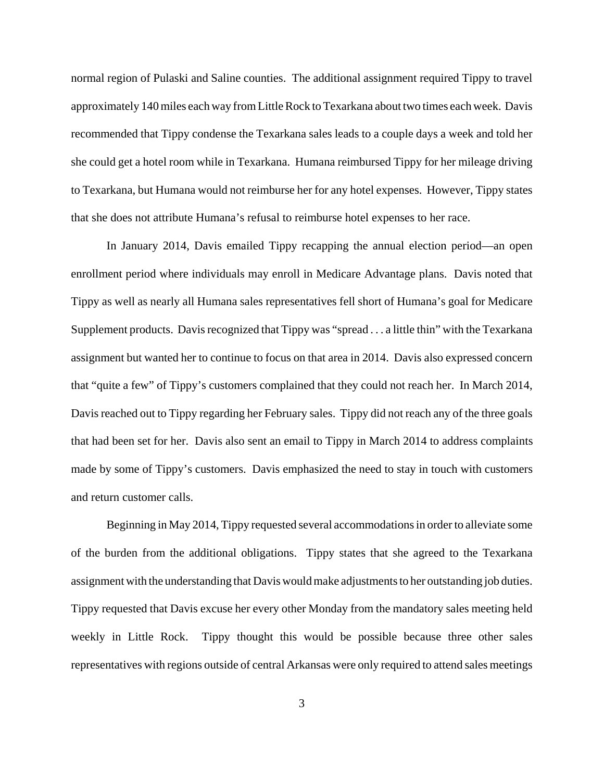normal region of Pulaski and Saline counties. The additional assignment required Tippy to travel approximately 140 miles each way from Little Rock to Texarkana about two times each week. Davis recommended that Tippy condense the Texarkana sales leads to a couple days a week and told her she could get a hotel room while in Texarkana. Humana reimbursed Tippy for her mileage driving to Texarkana, but Humana would not reimburse her for any hotel expenses. However, Tippy states that she does not attribute Humana's refusal to reimburse hotel expenses to her race.

In January 2014, Davis emailed Tippy recapping the annual election period—an open enrollment period where individuals may enroll in Medicare Advantage plans. Davis noted that Tippy as well as nearly all Humana sales representatives fell short of Humana's goal for Medicare Supplement products. Davis recognized that Tippy was "spread . . . a little thin" with the Texarkana assignment but wanted her to continue to focus on that area in 2014. Davis also expressed concern that "quite a few" of Tippy's customers complained that they could not reach her. In March 2014, Davis reached out to Tippy regarding her February sales. Tippy did not reach any of the three goals that had been set for her. Davis also sent an email to Tippy in March 2014 to address complaints made by some of Tippy's customers. Davis emphasized the need to stay in touch with customers and return customer calls.

Beginning in May 2014, Tippy requested several accommodations in order to alleviate some of the burden from the additional obligations. Tippy states that she agreed to the Texarkana assignment with the understanding that Davis would make adjustments to her outstanding job duties. Tippy requested that Davis excuse her every other Monday from the mandatory sales meeting held weekly in Little Rock. Tippy thought this would be possible because three other sales representatives with regions outside of central Arkansas were only required to attend sales meetings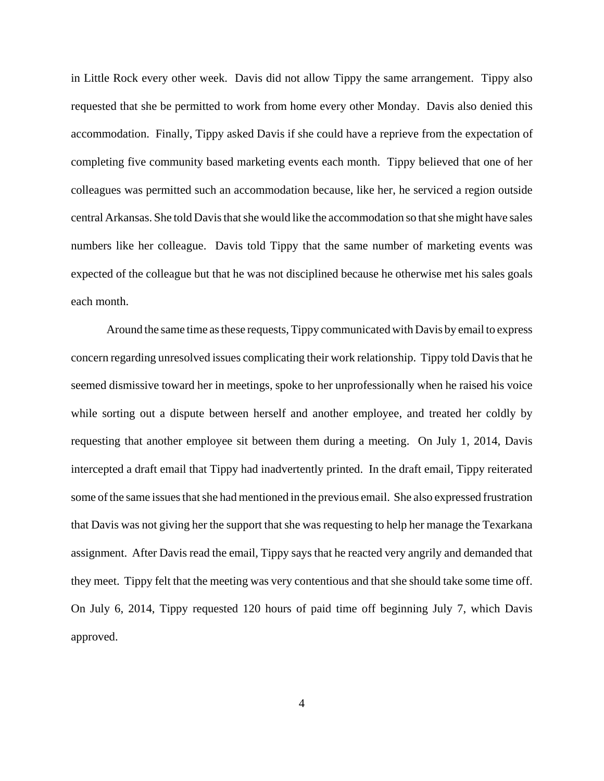in Little Rock every other week. Davis did not allow Tippy the same arrangement. Tippy also requested that she be permitted to work from home every other Monday. Davis also denied this accommodation. Finally, Tippy asked Davis if she could have a reprieve from the expectation of completing five community based marketing events each month. Tippy believed that one of her colleagues was permitted such an accommodation because, like her, he serviced a region outside central Arkansas. She told Davis that she would like the accommodation so that she might have sales numbers like her colleague. Davis told Tippy that the same number of marketing events was expected of the colleague but that he was not disciplined because he otherwise met his sales goals each month.

Around the same time as these requests, Tippy communicated with Davis by email to express concern regarding unresolved issues complicating their work relationship. Tippy told Davis that he seemed dismissive toward her in meetings, spoke to her unprofessionally when he raised his voice while sorting out a dispute between herself and another employee, and treated her coldly by requesting that another employee sit between them during a meeting. On July 1, 2014, Davis intercepted a draft email that Tippy had inadvertently printed. In the draft email, Tippy reiterated some of the same issues that she had mentioned in the previous email. She also expressed frustration that Davis was not giving her the support that she was requesting to help her manage the Texarkana assignment. After Davis read the email, Tippy says that he reacted very angrily and demanded that they meet. Tippy felt that the meeting was very contentious and that she should take some time off. On July 6, 2014, Tippy requested 120 hours of paid time off beginning July 7, which Davis approved.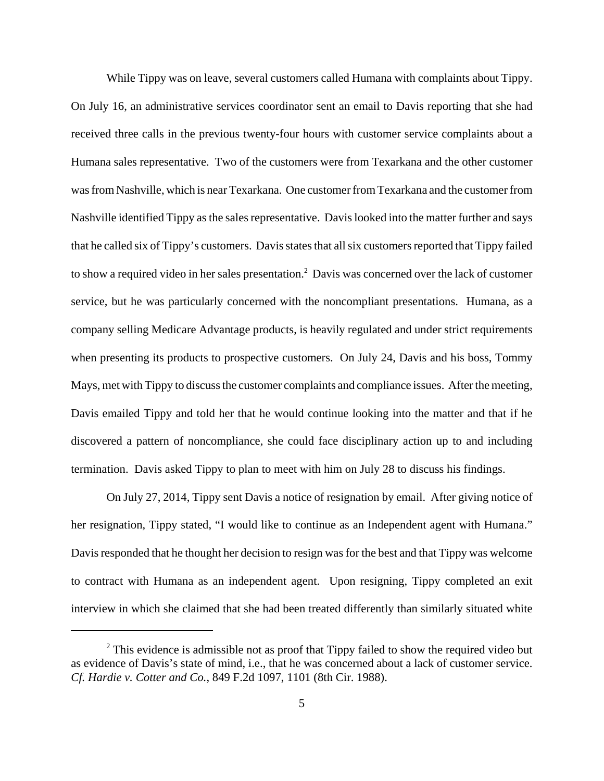While Tippy was on leave, several customers called Humana with complaints about Tippy. On July 16, an administrative services coordinator sent an email to Davis reporting that she had received three calls in the previous twenty-four hours with customer service complaints about a Humana sales representative. Two of the customers were from Texarkana and the other customer was from Nashville, which is near Texarkana. One customer from Texarkana and the customer from Nashville identified Tippy as the sales representative. Davis looked into the matter further and says that he called six of Tippy's customers. Davis states that all six customers reported that Tippy failed to show a required video in her sales presentation.<sup>2</sup> Davis was concerned over the lack of customer service, but he was particularly concerned with the noncompliant presentations. Humana, as a company selling Medicare Advantage products, is heavily regulated and under strict requirements when presenting its products to prospective customers. On July 24, Davis and his boss, Tommy Mays, met with Tippy to discuss the customer complaints and compliance issues. After the meeting, Davis emailed Tippy and told her that he would continue looking into the matter and that if he discovered a pattern of noncompliance, she could face disciplinary action up to and including termination. Davis asked Tippy to plan to meet with him on July 28 to discuss his findings.

On July 27, 2014, Tippy sent Davis a notice of resignation by email. After giving notice of her resignation, Tippy stated, "I would like to continue as an Independent agent with Humana." Davis responded that he thought her decision to resign was for the best and that Tippy was welcome to contract with Humana as an independent agent. Upon resigning, Tippy completed an exit interview in which she claimed that she had been treated differently than similarly situated white

 $2$  This evidence is admissible not as proof that Tippy failed to show the required video but as evidence of Davis's state of mind, i.e., that he was concerned about a lack of customer service. *Cf. Hardie v. Cotter and Co.*, 849 F.2d 1097, 1101 (8th Cir. 1988).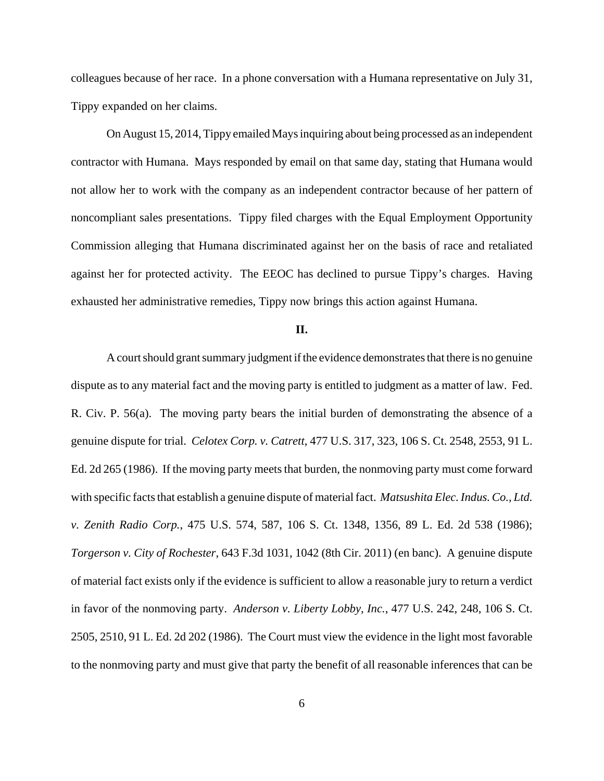colleagues because of her race. In a phone conversation with a Humana representative on July 31, Tippy expanded on her claims.

On August 15, 2014, Tippy emailed Mays inquiring about being processed as an independent contractor with Humana. Mays responded by email on that same day, stating that Humana would not allow her to work with the company as an independent contractor because of her pattern of noncompliant sales presentations. Tippy filed charges with the Equal Employment Opportunity Commission alleging that Humana discriminated against her on the basis of race and retaliated against her for protected activity. The EEOC has declined to pursue Tippy's charges. Having exhausted her administrative remedies, Tippy now brings this action against Humana.

#### **II.**

A court should grant summary judgment if the evidence demonstrates that there is no genuine dispute as to any material fact and the moving party is entitled to judgment as a matter of law. Fed. R. Civ. P. 56(a). The moving party bears the initial burden of demonstrating the absence of a genuine dispute for trial. *Celotex Corp. v. Catrett*, 477 U.S. 317, 323, 106 S. Ct. 2548, 2553, 91 L. Ed. 2d 265 (1986). If the moving party meets that burden, the nonmoving party must come forward with specific facts that establish a genuine dispute of material fact. *Matsushita Elec. Indus. Co., Ltd. v. Zenith Radio Corp.*, 475 U.S. 574, 587, 106 S. Ct. 1348, 1356, 89 L. Ed. 2d 538 (1986); *Torgerson v. City of Rochester*, 643 F.3d 1031, 1042 (8th Cir. 2011) (en banc). A genuine dispute of material fact exists only if the evidence is sufficient to allow a reasonable jury to return a verdict in favor of the nonmoving party. *Anderson v. Liberty Lobby, Inc.*, 477 U.S. 242, 248, 106 S. Ct. 2505, 2510, 91 L. Ed. 2d 202 (1986). The Court must view the evidence in the light most favorable to the nonmoving party and must give that party the benefit of all reasonable inferences that can be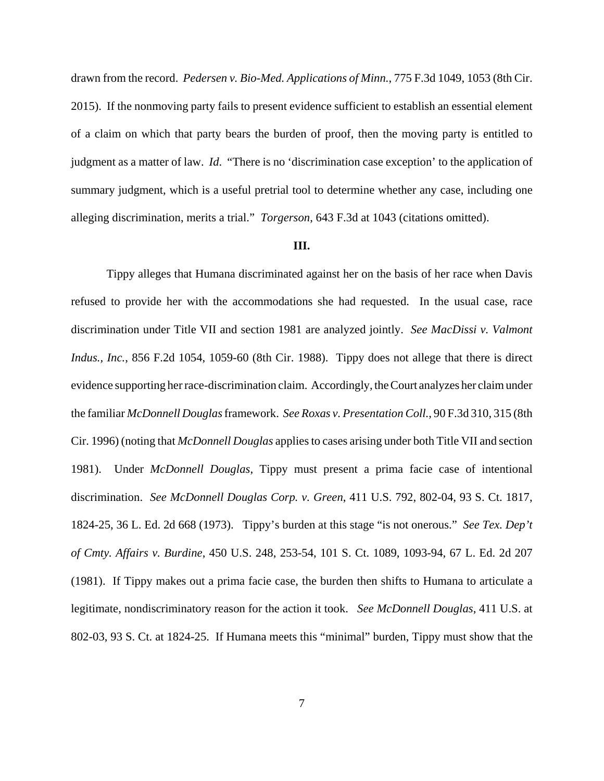drawn from the record. *Pedersen v. Bio-Med. Applications of Minn.*, 775 F.3d 1049, 1053 (8th Cir. 2015). If the nonmoving party fails to present evidence sufficient to establish an essential element of a claim on which that party bears the burden of proof, then the moving party is entitled to judgment as a matter of law. *Id*. "There is no 'discrimination case exception' to the application of summary judgment, which is a useful pretrial tool to determine whether any case, including one alleging discrimination, merits a trial." *Torgerson*, 643 F.3d at 1043 (citations omitted).

## **III.**

Tippy alleges that Humana discriminated against her on the basis of her race when Davis refused to provide her with the accommodations she had requested. In the usual case, race discrimination under Title VII and section 1981 are analyzed jointly. *See MacDissi v. Valmont Indus., Inc.*, 856 F.2d 1054, 1059-60 (8th Cir. 1988). Tippy does not allege that there is direct evidence supporting her race-discrimination claim. Accordingly, the Court analyzes her claim under the familiar *McDonnell Douglas* framework. *See Roxas v. Presentation Coll.*, 90 F.3d 310, 315 (8th Cir. 1996) (noting that *McDonnell Douglas* applies to cases arising under both Title VII and section 1981). Under *McDonnell Douglas*, Tippy must present a prima facie case of intentional discrimination. *See McDonnell Douglas Corp. v. Green*, 411 U.S. 792, 802-04, 93 S. Ct. 1817, 1824-25, 36 L. Ed. 2d 668 (1973). Tippy's burden at this stage "is not onerous." *See Tex. Dep't of Cmty. Affairs v. Burdine*, 450 U.S. 248, 253-54, 101 S. Ct. 1089, 1093-94, 67 L. Ed. 2d 207 (1981). If Tippy makes out a prima facie case, the burden then shifts to Humana to articulate a legitimate, nondiscriminatory reason for the action it took. *See McDonnell Douglas*, 411 U.S. at 802-03, 93 S. Ct. at 1824-25. If Humana meets this "minimal" burden, Tippy must show that the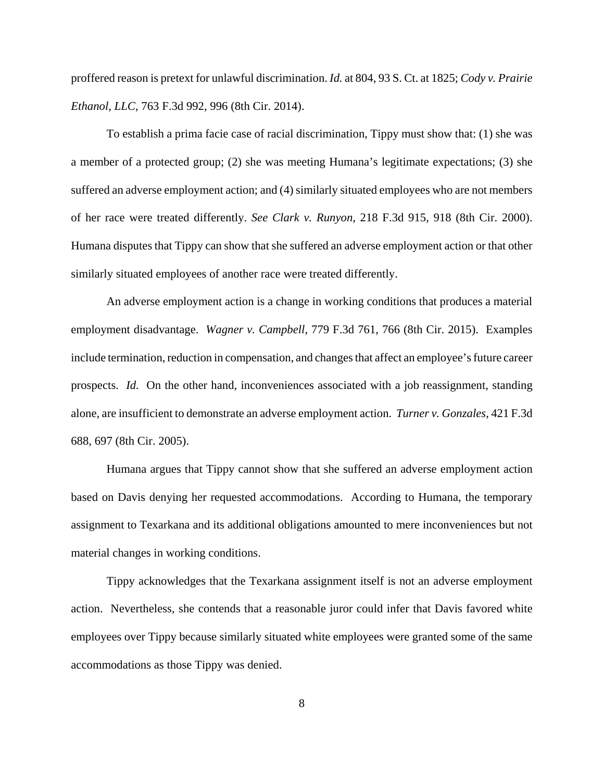proffered reason is pretext for unlawful discrimination. *Id.* at 804, 93 S. Ct. at 1825; *Cody v. Prairie Ethanol, LLC*, 763 F.3d 992, 996 (8th Cir. 2014).

To establish a prima facie case of racial discrimination, Tippy must show that: (1) she was a member of a protected group; (2) she was meeting Humana's legitimate expectations; (3) she suffered an adverse employment action; and (4) similarly situated employees who are not members of her race were treated differently. *See Clark v. Runyon*, 218 F.3d 915, 918 (8th Cir. 2000). Humana disputes that Tippy can show that she suffered an adverse employment action or that other similarly situated employees of another race were treated differently.

An adverse employment action is a change in working conditions that produces a material employment disadvantage. *Wagner v. Campbell*, 779 F.3d 761, 766 (8th Cir. 2015). Examples include termination, reduction in compensation, and changes that affect an employee's future career prospects. *Id.* On the other hand, inconveniences associated with a job reassignment, standing alone, are insufficient to demonstrate an adverse employment action. *Turner v. Gonzales*, 421 F.3d 688, 697 (8th Cir. 2005).

Humana argues that Tippy cannot show that she suffered an adverse employment action based on Davis denying her requested accommodations. According to Humana, the temporary assignment to Texarkana and its additional obligations amounted to mere inconveniences but not material changes in working conditions.

Tippy acknowledges that the Texarkana assignment itself is not an adverse employment action. Nevertheless, she contends that a reasonable juror could infer that Davis favored white employees over Tippy because similarly situated white employees were granted some of the same accommodations as those Tippy was denied.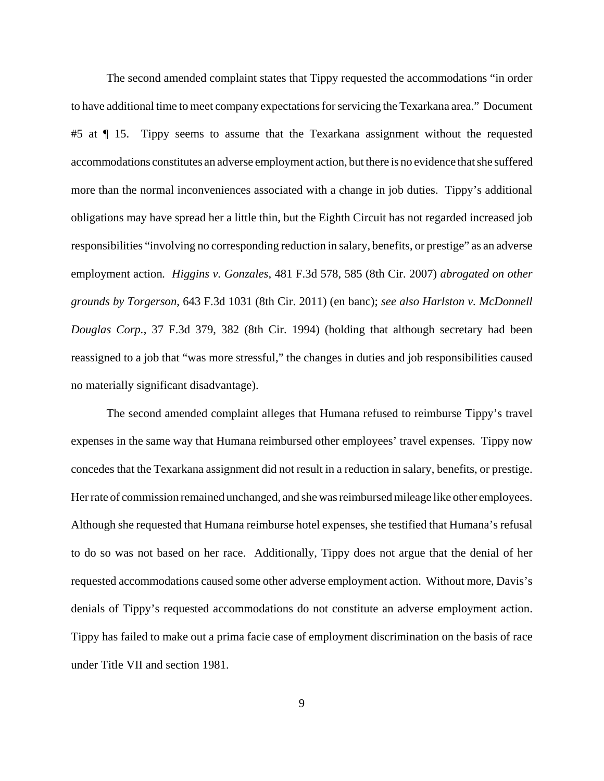The second amended complaint states that Tippy requested the accommodations "in order to have additional time to meet company expectations for servicing the Texarkana area." Document #5 at  $\P$  15. Tippy seems to assume that the Texarkana assignment without the requested accommodations constitutes an adverse employment action, but there is no evidence that she suffered more than the normal inconveniences associated with a change in job duties. Tippy's additional obligations may have spread her a little thin, but the Eighth Circuit has not regarded increased job responsibilities "involving no corresponding reduction in salary, benefits, or prestige" as an adverse employment action*. Higgins v. Gonzales*, 481 F.3d 578, 585 (8th Cir. 2007) *abrogated on other grounds by Torgerson*, 643 F.3d 1031 (8th Cir. 2011) (en banc); *see also Harlston v. McDonnell Douglas Corp.*, 37 F.3d 379, 382 (8th Cir. 1994) (holding that although secretary had been reassigned to a job that "was more stressful," the changes in duties and job responsibilities caused no materially significant disadvantage).

The second amended complaint alleges that Humana refused to reimburse Tippy's travel expenses in the same way that Humana reimbursed other employees' travel expenses. Tippy now concedes that the Texarkana assignment did not result in a reduction in salary, benefits, or prestige. Her rate of commission remained unchanged, and she was reimbursed mileage like other employees. Although she requested that Humana reimburse hotel expenses, she testified that Humana's refusal to do so was not based on her race. Additionally, Tippy does not argue that the denial of her requested accommodations caused some other adverse employment action. Without more, Davis's denials of Tippy's requested accommodations do not constitute an adverse employment action. Tippy has failed to make out a prima facie case of employment discrimination on the basis of race under Title VII and section 1981.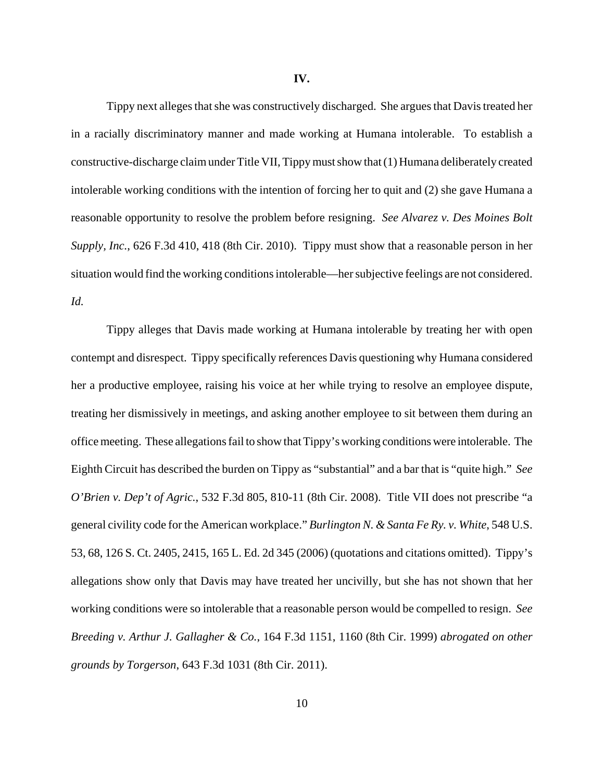Tippy next alleges that she was constructively discharged. She argues that Davis treated her in a racially discriminatory manner and made working at Humana intolerable. To establish a constructive-discharge claim under Title VII, Tippy must show that (1) Humana deliberately created intolerable working conditions with the intention of forcing her to quit and (2) she gave Humana a reasonable opportunity to resolve the problem before resigning. *See Alvarez v. Des Moines Bolt Supply, Inc.*, 626 F.3d 410, 418 (8th Cir. 2010). Tippy must show that a reasonable person in her situation would find the working conditions intolerable—her subjective feelings are not considered. *Id.*

Tippy alleges that Davis made working at Humana intolerable by treating her with open contempt and disrespect. Tippy specifically references Davis questioning why Humana considered her a productive employee, raising his voice at her while trying to resolve an employee dispute, treating her dismissively in meetings, and asking another employee to sit between them during an office meeting. These allegations fail to show that Tippy's working conditions were intolerable. The Eighth Circuit has described the burden on Tippy as "substantial" and a bar that is "quite high." *See O'Brien v. Dep't of Agric.*, 532 F.3d 805, 810-11 (8th Cir. 2008). Title VII does not prescribe "a general civility code for the American workplace." *Burlington N. & Santa Fe Ry. v. White*, 548 U.S. 53, 68, 126 S. Ct. 2405, 2415, 165 L. Ed. 2d 345 (2006) (quotations and citations omitted). Tippy's allegations show only that Davis may have treated her uncivilly, but she has not shown that her working conditions were so intolerable that a reasonable person would be compelled to resign. *See Breeding v. Arthur J. Gallagher & Co.*, 164 F.3d 1151, 1160 (8th Cir. 1999) *abrogated on other grounds by Torgerson*, 643 F.3d 1031 (8th Cir. 2011).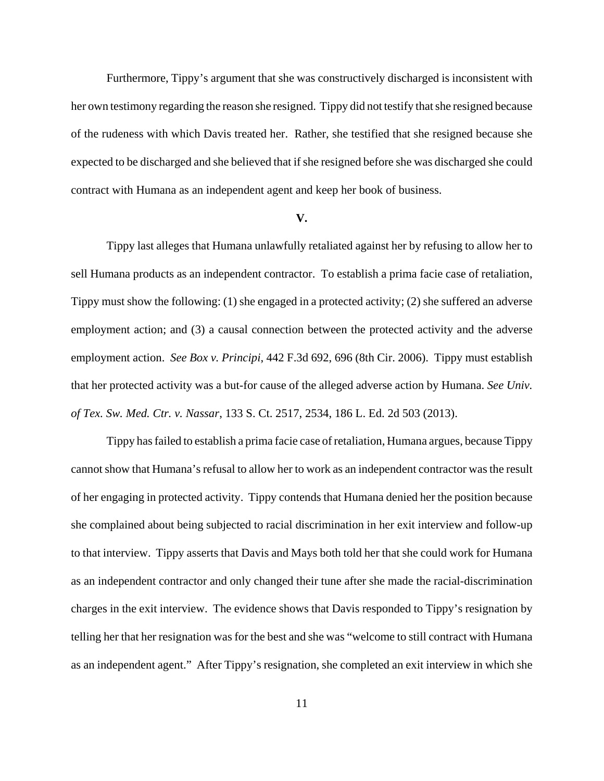Furthermore, Tippy's argument that she was constructively discharged is inconsistent with her own testimony regarding the reason she resigned. Tippy did not testify that she resigned because of the rudeness with which Davis treated her. Rather, she testified that she resigned because she expected to be discharged and she believed that if she resigned before she was discharged she could contract with Humana as an independent agent and keep her book of business.

#### **V.**

Tippy last alleges that Humana unlawfully retaliated against her by refusing to allow her to sell Humana products as an independent contractor. To establish a prima facie case of retaliation, Tippy must show the following: (1) she engaged in a protected activity; (2) she suffered an adverse employment action; and (3) a causal connection between the protected activity and the adverse employment action. *See Box v. Principi*, 442 F.3d 692, 696 (8th Cir. 2006). Tippy must establish that her protected activity was a but-for cause of the alleged adverse action by Humana. *See Univ. of Tex. Sw. Med. Ctr. v. Nassar*, 133 S. Ct. 2517, 2534, 186 L. Ed. 2d 503 (2013).

Tippy has failed to establish a prima facie case of retaliation, Humana argues, because Tippy cannot show that Humana's refusal to allow her to work as an independent contractor was the result of her engaging in protected activity. Tippy contends that Humana denied her the position because she complained about being subjected to racial discrimination in her exit interview and follow-up to that interview. Tippy asserts that Davis and Mays both told her that she could work for Humana as an independent contractor and only changed their tune after she made the racial-discrimination charges in the exit interview. The evidence shows that Davis responded to Tippy's resignation by telling her that her resignation was for the best and she was "welcome to still contract with Humana as an independent agent." After Tippy's resignation, she completed an exit interview in which she